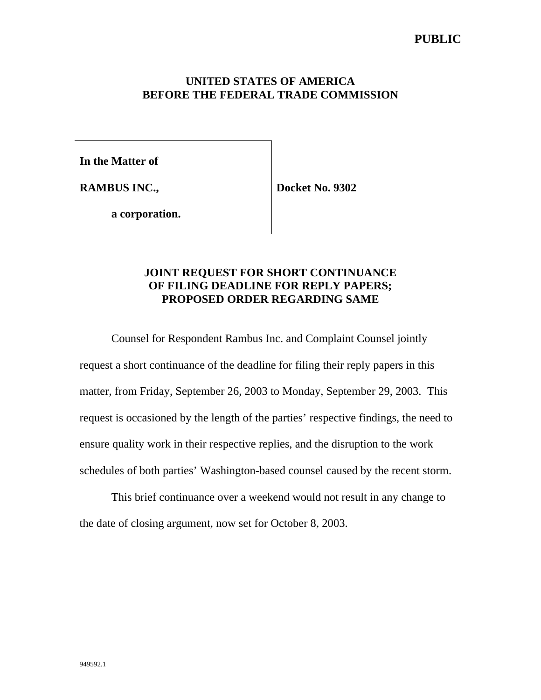#### **UNITED STATES OF AMERICA BEFORE THE FEDERAL TRADE COMMISSION**

**In the Matter of**

**RAMBUS INC.,**

**Docket No. 9302**

**a corporation.**

## **JOINT REQUEST FOR SHORT CONTINUANCE OF FILING DEADLINE FOR REPLY PAPERS; PROPOSED ORDER REGARDING SAME**

Counsel for Respondent Rambus Inc. and Complaint Counsel jointly request a short continuance of the deadline for filing their reply papers in this matter, from Friday, September 26, 2003 to Monday, September 29, 2003. This request is occasioned by the length of the parties' respective findings, the need to ensure quality work in their respective replies, and the disruption to the work schedules of both parties' Washington-based counsel caused by the recent storm.

This brief continuance over a weekend would not result in any change to the date of closing argument, now set for October 8, 2003.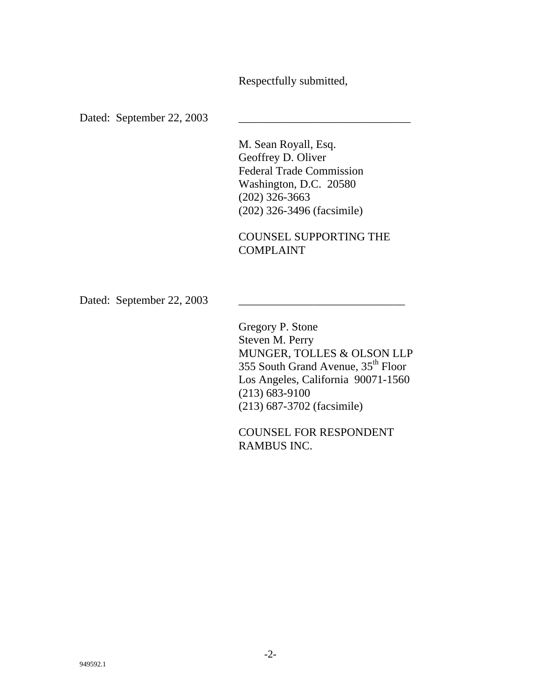Respectfully submitted,

Dated: September 22, 2003

M. Sean Royall, Esq. Geoffrey D. Oliver Federal Trade Commission Washington, D.C. 20580 (202) 326-3663 (202) 326-3496 (facsimile)

COUNSEL SUPPORTING THE COMPLAINT

Dated: September 22, 2003

Gregory P. Stone Steven M. Perry MUNGER, TOLLES & OLSON LLP 355 South Grand Avenue, 35<sup>th</sup> Floor Los Angeles, California 90071-1560 (213) 683-9100 (213) 687-3702 (facsimile)

COUNSEL FOR RESPONDENT RAMBUS INC.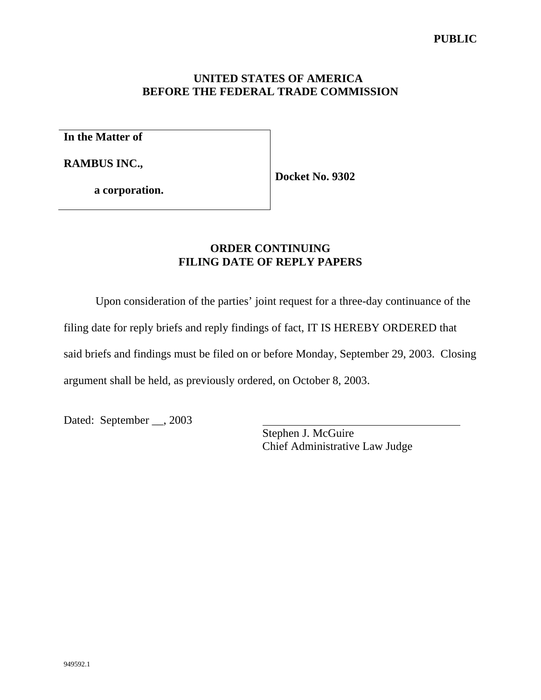### **UNITED STATES OF AMERICA BEFORE THE FEDERAL TRADE COMMISSION**

**In the Matter of**

**RAMBUS INC.,**

**Docket No. 9302**

**a corporation.**

# **ORDER CONTINUING FILING DATE OF REPLY PAPERS**

Upon consideration of the parties' joint request for a three-day continuance of the

filing date for reply briefs and reply findings of fact, IT IS HEREBY ORDERED that

said briefs and findings must be filed on or before Monday, September 29, 2003. Closing

argument shall be held, as previously ordered, on October 8, 2003.

Dated: September \_\_, 2003

Stephen J. McGuire Chief Administrative Law Judge